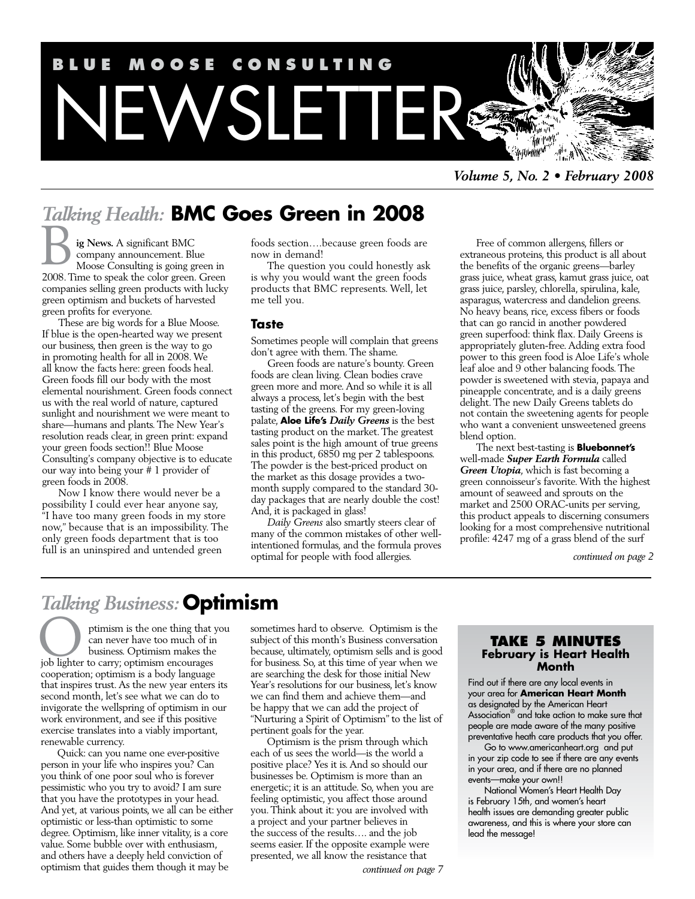

*Volume 5, No. 2 • February 2008*

# *Talking Health:* **BMC Goes Green in 2008**

**ig News.** A significant BMC company announcement. Blue Moose Consulting is going green in 2008. Time to speak the color green. Green companies selling green products with lucky green optimism and buckets of harvested green profits for everyone. B

These are big words for a Blue Moose. If blue is the open-hearted way we present our business, then green is the way to go in promoting health for all in 2008. We all know the facts here: green foods heal. Green foods fill our body with the most elemental nourishment. Green foods connect us with the real world of nature, captured sunlight and nourishment we were meant to share—humans and plants. The New Year's resolution reads clear, in green print: expand your green foods section!! Blue Moose Consulting's company objective is to educate our way into being your # 1 provider of green foods in 2008.

Now I know there would never be a possibility I could ever hear anyone say, "I have too many green foods in my store now," because that is an impossibility. The only green foods department that is too full is an uninspired and untended green

foods section….because green foods are now in demand!

The question you could honestly ask is why you would want the green foods products that BMC represents. Well, let me tell you.

#### **Taste**

Sometimes people will complain that greens don't agree with them. The shame.

Green foods are nature's bounty. Green foods are clean living. Clean bodies crave green more and more. And so while it is all always a process, let's begin with the best tasting of the greens. For my green-loving palate, **Aloe Life's** *Daily Greens* is the best tasting product on the market. The greatest sales point is the high amount of true greens in this product, 6850 mg per 2 tablespoons. The powder is the best-priced product on the market as this dosage provides a twomonth supply compared to the standard 30 day packages that are nearly double the cost! And, it is packaged in glass!

*Daily Greens* also smartly steers clear of many of the common mistakes of other wellintentioned formulas, and the formula proves optimal for people with food allergies.

Free of common allergens, fillers or extraneous proteins, this product is all about the benefits of the organic greens—barley grass juice, wheat grass, kamut grass juice, oat grass juice, parsley, chlorella, spirulina, kale, asparagus, watercress and dandelion greens. No heavy beans, rice, excess fibers or foods that can go rancid in another powdered green superfood: think flax. Daily Greens is appropriately gluten-free. Adding extra food power to this green food is Aloe Life's whole leaf aloe and 9 other balancing foods. The powder is sweetened with stevia, papaya and pineapple concentrate, and is a daily greens delight. The new Daily Greens tablets do not contain the sweetening agents for people who want a convenient unsweetened greens blend option.

The next best-tasting is **Bluebonnet's**  well-made *Super Earth Formula* called *Green Utopia*, which is fast becoming a green connoisseur's favorite. With the highest amount of seaweed and sprouts on the market and 2500 ORAC-units per serving, this product appeals to discerning consumers looking for a most comprehensive nutritional profile: 4247 mg of a grass blend of the surf

*continued on page 2*

# *Talking Business:* **Optimism**

ptimism is the one thing that you can never have too much of in business. Optimism makes the ptimism is the one thing that you can never have too much of in business. Optimism makes the job lighter to carry; optimism encourages cooperation; optimism is a body language that inspires trust. As the new year enters its second month, let's see what we can do to invigorate the wellspring of optimism in our work environment, and see if this positive exercise translates into a viably important, renewable currency.

Quick: can you name one ever-positive person in your life who inspires you? Can you think of one poor soul who is forever pessimistic who you try to avoid? I am sure that you have the prototypes in your head. And yet, at various points, we all can be either optimistic or less-than optimistic to some degree. Optimism, like inner vitality, is a core value. Some bubble over with enthusiasm, and others have a deeply held conviction of optimism that guides them though it may be

sometimes hard to observe. Optimism is the subject of this month's Business conversation because, ultimately, optimism sells and is good for business. So, at this time of year when we are searching the desk for those initial New Year's resolutions for our business, let's know we can find them and achieve them—and be happy that we can add the project of "Nurturing a Spirit of Optimism" to the list of pertinent goals for the year.

Optimism is the prism through which each of us sees the world—is the world a positive place? Yes it is. And so should our businesses be. Optimism is more than an energetic; it is an attitude. So, when you are feeling optimistic, you affect those around you. Think about it: you are involved with a project and your partner believes in the success of the results…. and the job seems easier. If the opposite example were presented, we all know the resistance that

#### **Take 5 Minutes February is Heart Health Month**

Find out if there are any local events in your area for **American Heart Month** as designated by the American Heart Association® and take action to make sure that people are made aware of the many positive preventative heath care products that you offer.

Go to www.americanheart.org and put in your zip code to see if there are any events in your area, and if there are no planned events—make your own!!

National Women's Heart Health Day is February 15th, and women's heart health issues are demanding greater public awareness, and this is where your store can lead the message!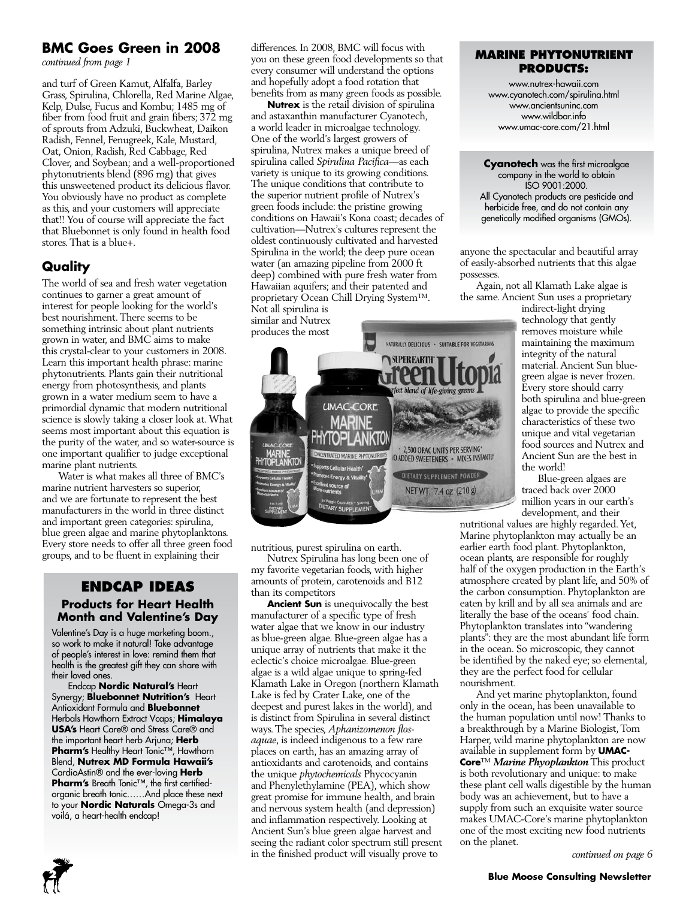# **BMC Goes Green in 2008**

*continued from page 1*

and turf of Green Kamut, Alfalfa, Barley Grass, Spirulina, Chlorella, Red Marine Algae, Kelp, Dulse, Fucus and Kombu; 1485 mg of fiber from food fruit and grain fibers; 372 mg of sprouts from Adzuki, Buckwheat, Daikon Radish, Fennel, Fenugreek, Kale, Mustard, Oat, Onion, Radish, Red Cabbage, Red Clover, and Soybean; and a well-proportioned phytonutrients blend (896 mg) that gives this unsweetened product its delicious flavor. You obviously have no product as complete as this, and your customers will appreciate that!! You of course will appreciate the fact that Bluebonnet is only found in health food stores. That is a blue+.

## **Quality**

The world of sea and fresh water vegetation continues to garner a great amount of interest for people looking for the world's best nourishment. There seems to be something intrinsic about plant nutrients grown in water, and BMC aims to make this crystal-clear to your customers in 2008. Learn this important health phrase: marine phytonutrients. Plants gain their nutritional energy from photosynthesis, and plants grown in a water medium seem to have a primordial dynamic that modern nutritional science is slowly taking a closer look at. What seems most important about this equation is the purity of the water, and so water-source is one important qualifier to judge exceptional marine plant nutrients.

Water is what makes all three of BMC's marine nutrient harvesters so superior, and we are fortunate to represent the best manufacturers in the world in three distinct and important green categories: spirulina, blue green algae and marine phytoplanktons. Every store needs to offer all three green food groups, and to be fluent in explaining their

### **Endcap Ideas Products for Heart Health Month and Valentine's Day**

Valentine's Day is a huge marketing boom., so work to make it natural! Take advantage of people's interest in love: remind them that health is the greatest gift they can share with their loved ones.

Endcap **Nordic Natural's** Heart Synergy; **Bluebonnet Nutrition's** Heart Antioxidant Formula and **Bluebonnet**  Herbals Hawthorn Extract Vcaps; **Himalaya USA's** Heart Care® and Stress Care® and the important heart herb Arjuna; **Herb Pharm's** Healthy Heart Tonic™, Hawthorn Blend, **Nutrex MD Formula Hawaii's** CardioAstin® and the ever-loving **Herb Pharm's** Breath Tonic™, the first certifiedorganic breath tonic……And place these next to your **Nordic Naturals** Omega-3s and voilá, a heart-health endcap!

differences. In 2008, BMC will focus with you on these green food developments so that every consumer will understand the options and hopefully adopt a food rotation that benefits from as many green foods as possible.

**Nutrex** is the retail division of spirulina and astaxanthin manufacturer Cyanotech, a world leader in microalgae technology. One of the world's largest growers of spirulina, Nutrex makes a unique breed of spirulina called *Spirulina Pacifica*—as each variety is unique to its growing conditions. The unique conditions that contribute to the superior nutrient profile of Nutrex's green foods include: the pristine growing conditions on Hawaii's Kona coast; decades of cultivation—Nutrex's cultures represent the oldest continuously cultivated and harvested Spirulina in the world; the deep pure ocean water (an amazing pipeline from 2000 ft deep) combined with pure fresh water from Hawaiian aquifers; and their patented and proprietary Ocean Chill Drying System™. Not all spirulina is

similar and Nutrex produces the most



nutritious, purest spirulina on earth.

Nutrex Spirulina has long been one of my favorite vegetarian foods, with higher amounts of protein, carotenoids and B12 than its competitors

**Ancient Sun** is unequivocally the best manufacturer of a specific type of fresh water algae that we know in our industry as blue-green algae. Blue-green algae has a unique array of nutrients that make it the eclectic's choice microalgae. Blue-green algae is a wild algae unique to spring-fed Klamath Lake in Oregon (northern Klamath Lake is fed by Crater Lake, one of the deepest and purest lakes in the world), and is distinct from Spirulina in several distinct ways. The species, *Aphanizomenon flosaquae*, is indeed indigenous to a few rare places on earth, has an amazing array of antioxidants and carotenoids, and contains the unique *phytochemicals* Phycocyanin and Phenylethylamine (PEA), which show great promise for immune health, and brain and nervous system health (and depression) and inflammation respectively. Looking at Ancient Sun's blue green algae harvest and seeing the radiant color spectrum still present in the finished product will visually prove to

### **Marine Phytonutrient Products:**

www.nutrex-hawaii.com www.cyanotech.com/spirulina.html www.ancientsuninc.com www.wildbar.info www.umac-core.com/21.html

**Cyanotech** was the first microalgae company in the world to obtain ISO 9001:2000. All Cyanotech products are pesticide and herbicide free, and do not contain any genetically modified organisms (GMOs).

anyone the spectacular and beautiful array of easily-absorbed nutrients that this algae possesses.

Again, not all Klamath Lake algae is the same. Ancient Sun uses a proprietary

indirect-light drying technology that gently removes moisture while maintaining the maximum integrity of the natural material. Ancient Sun bluegreen algae is never frozen. Every store should carry both spirulina and blue-green algae to provide the specific characteristics of these two unique and vital vegetarian food sources and Nutrex and Ancient Sun are the best in the world!

Blue-green algaes are traced back over 2000 million years in our earth's development, and their

nutritional values are highly regarded. Yet, Marine phytoplankton may actually be an earlier earth food plant. Phytoplankton, ocean plants, are responsible for roughly half of the oxygen production in the Earth's atmosphere created by plant life, and 50% of the carbon consumption. Phytoplankton are eaten by krill and by all sea animals and are literally the base of the oceans' food chain. Phytoplankton translates into "wandering plants": they are the most abundant life form in the ocean. So microscopic, they cannot be identified by the naked eye; so elemental, they are the perfect food for cellular nourishment.

And yet marine phytoplankton, found only in the ocean, has been unavailable to the human population until now! Thanks to a breakthrough by a Marine Biologist, Tom Harper, wild marine phytoplankton are now available in supplement form by **UMAC-Core**™ *Marine Phyoplankton* This product is both revolutionary and unique: to make these plant cell walls digestible by the human body was an achievement, but to have a supply from such an exquisite water source makes UMAC-Core's marine phytoplankton one of the most exciting new food nutrients on the planet.

*continued on page 6*

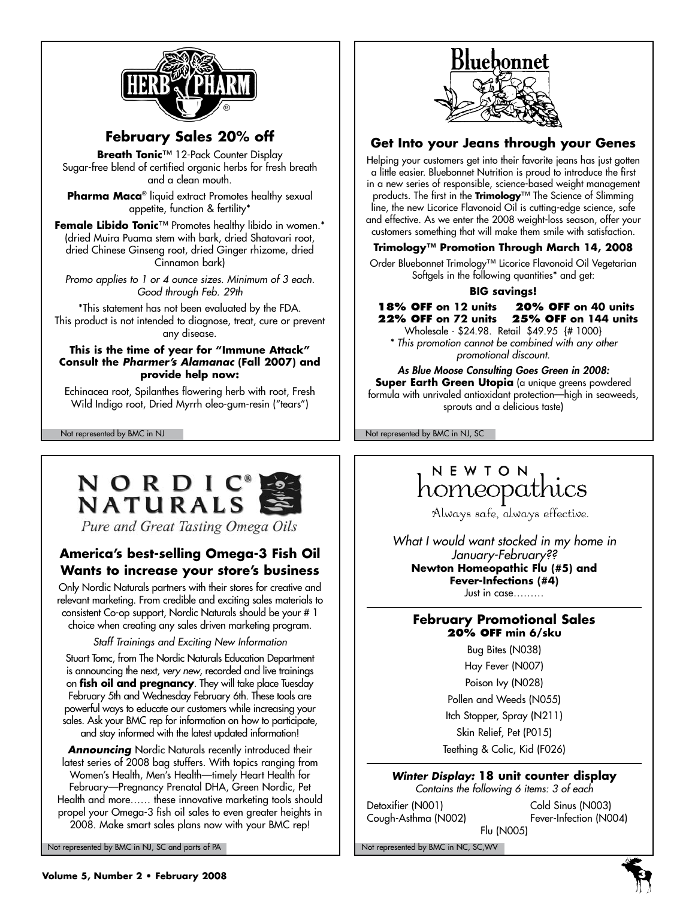

# **February Sales 20% off**

**Breath Tonic**™ 12-Pack Counter Display Sugar-free blend of certified organic herbs for fresh breath and a clean mouth.

**Pharma Maca**® liquid extract Promotes healthy sexual appetite, function & fertility\*

**Female Libido Tonic**™ Promotes healthy libido in women.\* (dried Muira Puama stem with bark, dried Shatavari root, dried Chinese Ginseng root, dried Ginger rhizome, dried Cinnamon bark)

*Promo applies to 1 or 4 ounce sizes. Minimum of 3 each. Good through Feb. 29th*

\*This statement has not been evaluated by the FDA. This product is not intended to diagnose, treat, cure or prevent any disease.

### **This is the time of year for "Immune Attack" Consult the** *Pharmer's Alamanac* **(Fall 2007) and provide help now:**

Echinacea root, Spilanthes flowering herb with root, Fresh Wild Indigo root, Dried Myrrh oleo-gum-resin ("tears")



Pure and Great Tasting Omega Oils

# **America's best-selling Omega-3 Fish Oil Wants to increase your store's business**

Only Nordic Naturals partners with their stores for creative and relevant marketing. From credible and exciting sales materials to consistent Co-op support, Nordic Naturals should be your # 1 choice when creating any sales driven marketing program.

### *Staff Trainings and Exciting New Information*

Stuart Tomc, from The Nordic Naturals Education Department is announcing the next, *very new*, recorded and live trainings on **fish oil and pregnancy**. They will take place Tuesday February 5th and Wednesday February 6th. These tools are powerful ways to educate our customers while increasing your sales. Ask your BMC rep for information on how to participate, and stay informed with the latest updated information!

**Announcing** Nordic Naturals recently introduced their latest series of 2008 bag stuffers. With topics ranging from Women's Health, Men's Health—timely Heart Health for February—Pregnancy Prenatal DHA, Green Nordic, Pet Health and more…… these innovative marketing tools should propel your Omega-3 fish oil sales to even greater heights in 2008. Make smart sales plans now with your BMC rep!

Not represented by BMC in NJ, SC and parts of PA Note that the Note of Not represented by BMC in NC, SC, WV



## **Get Into your Jeans through your Genes**

Helping your customers get into their favorite jeans has just gotten a little easier. Bluebonnet Nutrition is proud to introduce the first in a new series of responsible, science-based weight management products. The first in the **Trimology**™ The Science of Slimming line, the new Licorice Flavonoid Oil is cutting-edge science, safe and effective. As we enter the 2008 weight-loss season, offer your customers something that will make them smile with satisfaction.

## **Trimology™ Promotion Through March 14, 2008**

Order Bluebonnet Trimology™ Licorice Flavonoid Oil Vegetarian Softgels in the following quantities\* and get:

### **BIG savings!**

**18% OFF on 12 units 20% OFF on 40 units 22% OFF on 72 units 25% OFF on 144 units** 

Wholesale - \$24.98. Retail \$49.95 {# 1000} *\* This promotion cannot be combined with any other promotional discount.*

*As Blue Moose Consulting Goes Green in 2008:* **Super Earth Green Utopia** (a unique greens powdered formula with unrivaled antioxidant protection—high in seaweeds, sprouts and a delicious taste)

Not represented by BMC in NJ Not represented by BMC in NJ, SC

# NEWTON homeopathics

Always safe, always effective.

*What I would want stocked in my home in January-February??* **Newton Homeopathic Flu (#5) and Fever-Infections (#4)** Just in case………

**February Promotional Sales 20% off min 6/sku**

> Bug Bites (N038) Hay Fever (N007) Poison Ivy (N028) Pollen and Weeds (N055) Itch Stopper, Spray (N211) Skin Relief, Pet (P015) Teething & Colic, Kid (F026)

*Winter Display:* **18 unit counter display** *Contains the following 6 items: 3 of each*

Detoxifier (N001) Cold Sinus (N003)

Cough-Asthma (N002) Fever-Infection (N004) Flu (N005)

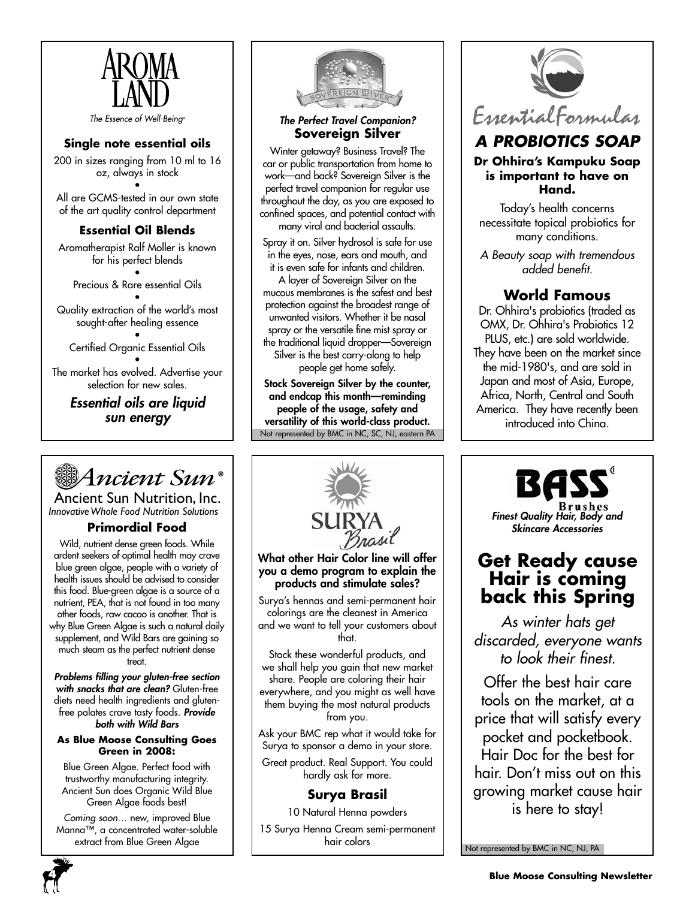

*The Essence of Well-Being®*

## **Single note essential oils**

200 in sizes ranging from 10 ml to 16 oz, always in stock •

All are GCMS-tested in our own state of the art quality control department

## **Essential Oil Blends**

Aromatherapist Ralf Moller is known for his perfect blends

• Precious & Rare essential Oils

• Quality extraction of the world's most sought-after healing essence

• Certified Organic Essential Oils

• The market has evolved. Advertise your selection for new sales.

*Essential oils are liquid sun energy*



Ancient Sun Nutrition, Inc. *InnovativeWhole Food Nutrition Solutions*

## **Primordial Food**

Wild, nutrient dense green foods. While ardent seekers of optimal health may crave blue green algae, people with a variety of health issues should be advised to consider this food. Blue-green algae is a source of a nutrient, PEA, that is not found in too many other foods, raw cacao is another. That is why Blue Green Algae is such a natural daily supplement, and Wild Bars are gaining so much steam as the perfect nutrient dense treat.

*Problems filling your gluten-free section with snacks that are clean?* Gluten-free diets need health ingredients and glutenfree palates crave tasty foods. *Provide both with Wild Bars*

#### **As Blue Moose Consulting Goes Green in 2008:**

Blue Green Algae. Perfect food with trustworthy manufacturing integrity. Ancient Sun does Organic Wild Blue Green Algae foods best!

*Coming soon…* new, improved Blue Manna™, a concentrated water-soluble extract from Blue Green Algae



*The Perfect Travel Companion?* **Sovereign Silver**

Winter getaway? Business Travel? The car or public transportation from home to work—and back? Sovereign Silver is the perfect travel companion for regular use throughout the day, as you are exposed to confined spaces, and potential contact with many viral and bacterial assaults.

Spray it on. Silver hydrosol is safe for use in the eyes, nose, ears and mouth, and it is even safe for infants and children. A layer of Sovereign Silver on the mucous membranes is the safest and best protection against the broadest range of unwanted visitors. Whether it be nasal spray or the versatile fine mist spray or the traditional liquid dropper—Sovereign Silver is the best carry-along to help people get home safely.

Not represented by BMC in NC, SC, NJ, eastern PA Stock Sovereign Silver by the counter, and endcap this month—reminding people of the usage, safety and versatility of this world-class product.



# *A Probiotics Soap*

### **Dr Ohhira's Kampuku Soap is important to have on Hand.**

Today's health concerns necessitate topical probiotics for many conditions.

*A Beauty soap with tremendous added benefit.*

# **World Famous**

Dr. Ohhira's probiotics (traded as OMX, Dr. Ohhira's Probiotics 12 PLUS, etc.) are sold worldwide. They have been on the market since the mid-1980's, and are sold in Japan and most of Asia, Europe, Africa, North, Central and South America. They have recently been introduced into China.



# **Get Ready cause Hair is coming back this Spring**

*As winter hats get discarded, everyone wants to look their finest.*

Offer the best hair care tools on the market, at a price that will satisfy every pocket and pocketbook. Hair Doc for the best for hair. Don't miss out on this growing market cause hair is here to stay!

Not represented by BMC in NC, NJ, PA



What other Hair Color line will offer you a demo program to explain the products and stimulate sales?

Surya's hennas and semi-permanent hair colorings are the cleanest in America and we want to tell your customers about that.

Stock these wonderful products, and we shall help you gain that new market share. People are coloring their hair everywhere, and you might as well have them buying the most natural products from you.

Ask your BMC rep what it would take for Surya to sponsor a demo in your store.

Great product. Real Support. You could hardly ask for more.

# **Surya Brasil**

10 Natural Henna powders

15 Surya Henna Cream semi-permanent hair colors

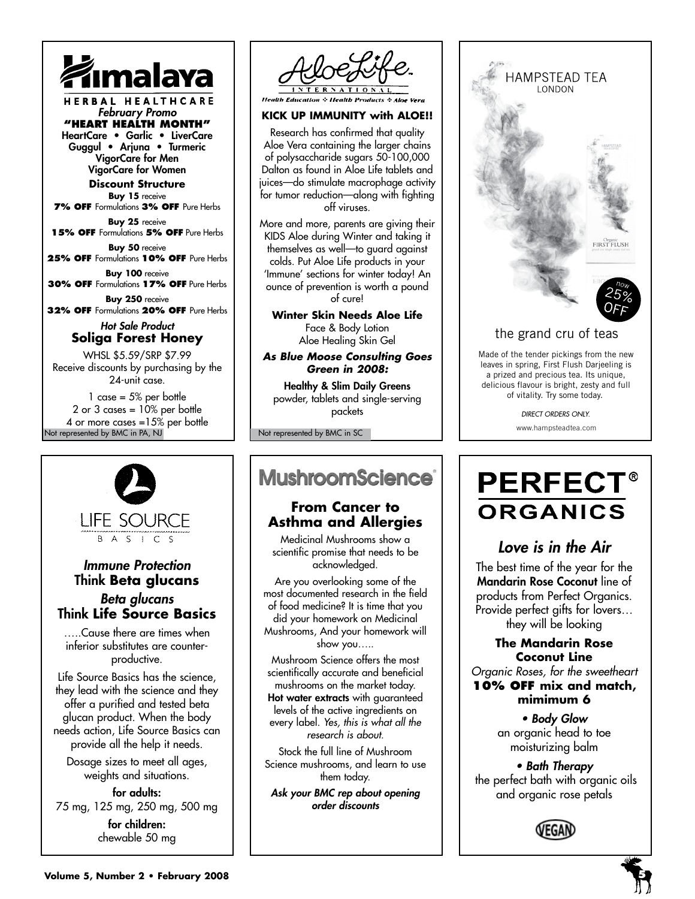

HERBAL HEALTHCARE *February Promo* **"Heart Health Month"** HeartCare • Garlic • LiverCare Guggul • Arjuna • Turmeric

VigorCare for Men VigorCare for Women

**Discount Structure Buy 15** receive

**7% off** Formulations **3% off** Pure Herbs **Buy 25** receive

**15% off** Formulations **5% off** Pure Herbs

**Buy 50** receive **25% off** Formulations **10% off** Pure Herbs

**Buy 100** receive **30% off** Formulations **17% off** Pure Herbs

**Buy 250** receive **32% off** Formulations **20% off** Pure Herbs

### *Hot Sale Product* **Soliga Forest Honey**

WHSL \$5.59/SRP \$7.99 Receive discounts by purchasing by the 24-unit case.

Not represented by BMC in PA, NJ 1 case  $= 5\%$  per bottle 2 or 3 cases =  $10\%$  per bottle 4 or more cases =15% per bottle



## *Immune Protection* Think **Beta glucans** *Beta glucans* Think **Life Source Basics**

…..Cause there are times when inferior substitutes are counterproductive.

Life Source Basics has the science, they lead with the science and they offer a purified and tested beta glucan product. When the body needs action, Life Source Basics can provide all the help it needs.

Dosage sizes to meet all ages, weights and situations.

for adults: 75 mg, 125 mg, 250 mg, 500 mg for children: chewable 50 mg



**Health Education & Health Products** 

## **KICK UP IMMUNITY with ALOE!!**

Research has confirmed that quality Aloe Vera containing the larger chains of polysaccharide sugars 50-100,000 Dalton as found in Aloe Life tablets and juices—do stimulate macrophage activity for tumor reduction—along with fighting off viruses.

More and more, parents are giving their KIDS Aloe during Winter and taking it themselves as well—to guard against colds. Put Aloe Life products in your 'Immune' sections for winter today! An ounce of prevention is worth a pound of cure!

**Winter Skin Needs Aloe Life** Face & Body Lotion Aloe Healing Skin Gel

*As Blue Moose Consulting Goes Green in 2008:*

Healthy & Slim Daily Greens powder, tablets and single-serving packets

Not represented by BMC in SC

# **MushroomScience**®

## **From Cancer to Asthma and Allergies**

Medicinal Mushrooms show a scientific promise that needs to be acknowledged.

Are you overlooking some of the most documented research in the field of food medicine? It is time that you did your homework on Medicinal Mushrooms, And your homework will show you…..

Mushroom Science offers the most scientifically accurate and beneficial mushrooms on the market today.

Hot water extracts with guaranteed levels of the active ingredients on every label. *Yes, this is what all the research is about.*

Stock the full line of Mushroom Science mushrooms, and learn to use them today.

*Ask your BMC rep about opening order discounts*



# the grand cru of teas

Made of the tender pickings from the new leaves in spring, First Flush Darjeeling is a prized and precious tea. Its unique, delicious flavour is bright, zesty and full of vitality. Try some today.

*DIRECT ORDERS ONLY.*

www.hampsteadtea.com

# **PERFECT® ORGANICS**

# *Love is in the Air*

The best time of the year for the Mandarin Rose Coconut line of products from Perfect Organics. Provide perfect gifts for lovers… they will be looking

# **The Mandarin Rose Coconut Line**

*Organic Roses, for the sweetheart* **10% off mix and match, mimimum 6**

> *• Body Glow* an organic head to toe moisturizing balm

*• Bath Therapy* the perfect bath with organic oils and organic rose petals



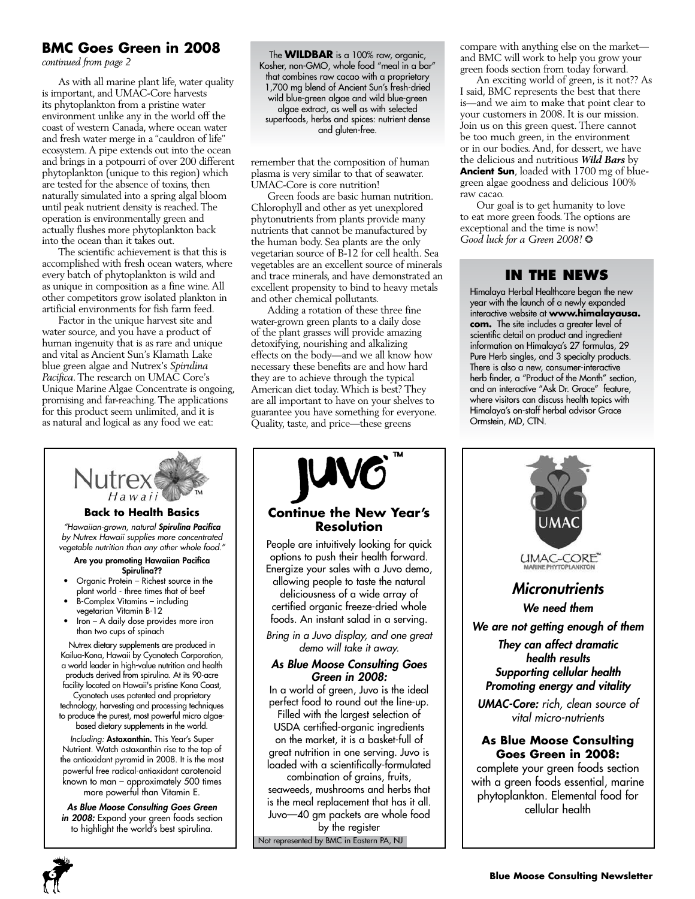# **BMC Goes Green in 2008**

*continued from page 2*

As with all marine plant life, water quality is important, and UMAC-Core harvests its phytoplankton from a pristine water environment unlike any in the world off the coast of western Canada, where ocean water and fresh water merge in a "cauldron of life" ecosystem. A pipe extends out into the ocean and brings in a potpourri of over 200 different phytoplankton (unique to this region) which are tested for the absence of toxins, then naturally simulated into a spring algal bloom until peak nutrient density is reached. The operation is environmentally green and actually flushes more phytoplankton back into the ocean than it takes out.

The scientific achievement is that this is accomplished with fresh ocean waters, where every batch of phytoplankton is wild and as unique in composition as a fine wine. All other competitors grow isolated plankton in artificial environments for fish farm feed.

Factor in the unique harvest site and water source, and you have a product of human ingenuity that is as rare and unique and vital as Ancient Sun's Klamath Lake blue green algae and Nutrex's *Spirulina Pacifica*. The research on UMAC Core's Unique Marine Algae Concentrate is ongoing, promising and far-reaching. The applications for this product seem unlimited, and it is as natural and logical as any food we eat:



*Including:* Astaxanthin. This Year's Super Nutrient. Watch astaxanthin rise to the top of the antioxidant pyramid in 2008. It is the most powerful free radical-antioxidant carotenoid known to man – approximately 500 times more powerful than Vitamin E.

*As Blue Moose Consulting Goes Green*  in 2008: Expand your green foods section to highlight the world's best spirulina.

The **WILDBAR** is a 100% raw, organic, Kosher, non-GMO, whole food "meal in a bar" that combines raw cacao with a proprietary 1,700 mg blend of Ancient Sun's fresh-dried wild blue-green algae and wild blue-green algae extract, as well as with selected superfoods, herbs and spices: nutrient dense and gluten-free.

remember that the composition of human plasma is very similar to that of seawater. UMAC-Core is core nutrition!

Green foods are basic human nutrition. Chlorophyll and other as yet unexplored phytonutrients from plants provide many nutrients that cannot be manufactured by the human body. Sea plants are the only vegetarian source of B-12 for cell health. Sea vegetables are an excellent source of minerals and trace minerals, and have demonstrated an excellent propensity to bind to heavy metals and other chemical pollutants.

Adding a rotation of these three fine water-grown green plants to a daily dose of the plant grasses will provide amazing detoxifying, nourishing and alkalizing effects on the body—and we all know how necessary these benefits are and how hard they are to achieve through the typical American diet today. Which is best? They are all important to have on your shelves to guarantee you have something for everyone. Quality, taste, and price—these greens



Juvo—40 gm packets are whole food by the register

Not represented by BMC in Eastern PA, NJ

compare with anything else on the market and BMC will work to help you grow your green foods section from today forward.

An exciting world of green, is it not?? As I said, BMC represents the best that there is—and we aim to make that point clear to your customers in 2008. It is our mission. Join us on this green quest. There cannot be too much green, in the environment or in our bodies. And, for dessert, we have the delicious and nutritious *Wild Bars* by **Ancient Sun**, loaded with 1700 mg of bluegreen algae goodness and delicious 100% raw cacao.

Our goal is to get humanity to love to eat more green foods. The options are exceptional and the time is now! *Good luck for a Green 2008!* ❂

## **In the News**

Himalaya Herbal Healthcare began the new year with the launch of a newly expanded interactive website at **www.himalayausa. com.** The site includes a greater level of scientific detail on product and ingredient information on Himalaya's 27 formulas, 29 Pure Herb singles, and 3 specialty products. There is also a new, consumer-interactive herb finder, a "Product of the Month" section, and an interactive "Ask Dr. Grace" **E**eature, where visitors can discuss health topics with Himalaya's on-staff herbal advisor Grace Ormstein, MD, CTN.

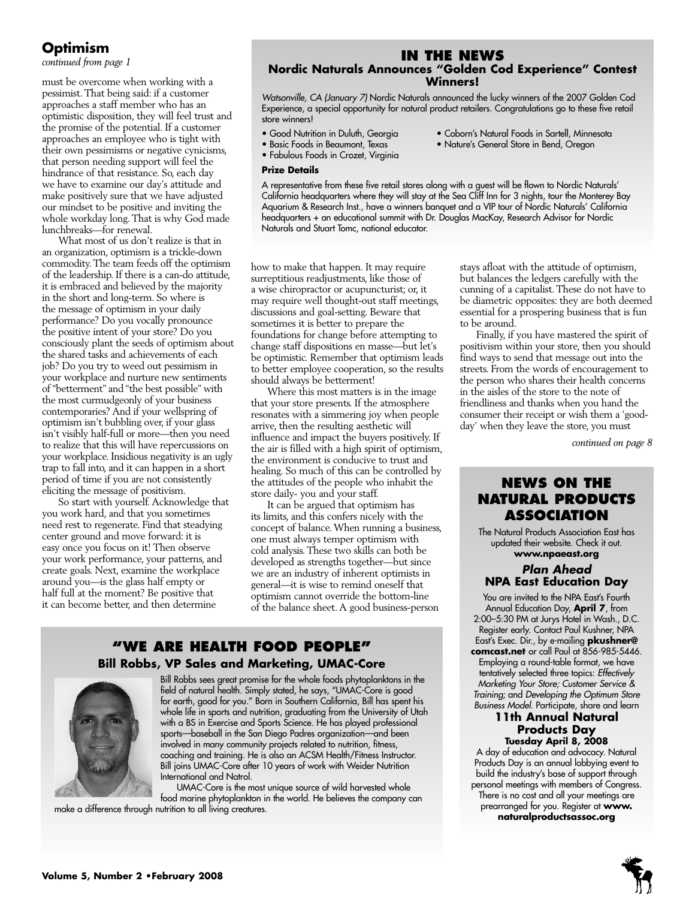# **Optimism**

must be overcome when working with a pessimist. That being said: if a customer approaches a staff member who has an optimistic disposition, they will feel trust and the promise of the potential. If a customer approaches an employee who is tight with their own pessimisms or negative cynicisms, that person needing support will feel the hindrance of that resistance. So, each day we have to examine our day's attitude and make positively sure that we have adjusted our mindset to be positive and inviting the whole workday long. That is why God made lunchbreaks—for renewal.

What most of us don't realize is that in an organization, optimism is a trickle-down commodity. The team feeds off the optimism of the leadership. If there is a can-do attitude, it is embraced and believed by the majority in the short and long-term. So where is the message of optimism in your daily performance? Do you vocally pronounce the positive intent of your store? Do you consciously plant the seeds of optimism about the shared tasks and achievements of each job? Do you try to weed out pessimism in your workplace and nurture new sentiments of "betterment" and "the best possible" with the most curmudgeonly of your business contemporaries? And if your wellspring of optimism isn't bubbling over, if your glass isn't visibly half-full or more—then you need to realize that this will have repercussions on your workplace. Insidious negativity is an ugly trap to fall into, and it can happen in a short period of time if you are not consistently eliciting the message of positivism.

So start with yourself. Acknowledge that you work hard, and that you sometimes need rest to regenerate. Find that steadying center ground and move forward: it is easy once you focus on it! Then observe your work performance, your patterns, and create goals. Next, examine the workplace around you—is the glass half empty or half full at the moment? Be positive that it can become better, and then determine

# *continued from page 1* **In the News Nordic Naturals Announces "Golden Cod Experience" Contest**

**Winners!** *Watsonville, CA (January 7)* Nordic Naturals announced the lucky winners of the 2007 Golden Cod

- Experience, a special opportunity for natural product retailers. Congratulations go to these five retail store winners!
- 
- Good Nutrition in Duluth, Georgia Coborn's Natural Foods in Sartell, Minnesota<br>• Nature's General Store in Bend, Oregon
	- Nature's General Store in Bend, Oregon
- Fabulous Foods in Crozet, Virginia **Prize Details**

A representative from these five retail stores along with a guest will be flown to Nordic Naturals' California headquarters where they will stay at the Sea Cliff Inn for 3 nights, tour the Monterey Bay Aquarium & Research Inst., have a winners banquet and a VIP tour of Nordic Naturals' California headquarters + an educational summit with Dr. Douglas MacKay, Research Advisor for Nordic Naturals and Stuart Tomc, national educator.

how to make that happen. It may require surreptitious readjustments, like those of a wise chiropractor or acupuncturist; or, it may require well thought-out staff meetings, discussions and goal-setting. Beware that sometimes it is better to prepare the foundations for change before attempting to change staff dispositions en masse—but let's be optimistic. Remember that optimism leads to better employee cooperation, so the results should always be betterment!

Where this most matters is in the image that your store presents. If the atmosphere resonates with a simmering joy when people arrive, then the resulting aesthetic will influence and impact the buyers positively. If the air is filled with a high spirit of optimism, the environment is conducive to trust and healing. So much of this can be controlled by the attitudes of the people who inhabit the store daily- you and your staff.

It can be argued that optimism has its limits, and this confers nicely with the concept of balance. When running a business, one must always temper optimism with cold analysis. These two skills can both be developed as strengths together—but since we are an industry of inherent optimists in general—it is wise to remind oneself that optimism cannot override the bottom-line of the balance sheet. A good business-person

# **"We Are health food people"**

### **Bill Robbs, VP Sales and Marketing, UMAC-Core**



Bill Robbs sees great promise for the whole foods phytoplanktons in the field of natural health. Simply stated, he says, "UMAC-Core is good for earth, good for you." Born in Southern California, Bill has spent his whole life in sports and nutrition, graduating from the University of Utah with a BS in Exercise and Sports Science. He has played professional sports—baseball in the San Diego Padres organization—and been involved in many community projects related to nutrition, fitness, coaching and training. He is also an ACSM Health/Fitness Instructor. Bill joins UMAC-Core after 10 years of work with Weider Nutrition International and Natrol.

UMAC-Core is the most unique source of wild harvested whole food marine phytoplankton in the world. He believes the company can make a difference through nutrition to all living creatures.

stays afloat with the attitude of optimism, but balances the ledgers carefully with the cunning of a capitalist. These do not have to be diametric opposites: they are both deemed essential for a prospering business that is fun to be around.

Finally, if you have mastered the spirit of positivism within your store, then you should find ways to send that message out into the streets. From the words of encouragement to the person who shares their health concerns in the aisles of the store to the note of friendliness and thanks when you hand the consumer their receipt or wish them a 'goodday' when they leave the store, you must

*continued on page 8*

# **News on the Natural Products Association**

The Natural Products Association East has updated their website. Check it out. **www.npaeast.org**

## *Plan Ahead*  **NPA East Education Day**

You are invited to the NPA East's Fourth Annual Education Day, **April 7**, from 2:00–5:30 PM at Jurys Hotel in Wash., D.C. Register early. Contact Paul Kushner, NPA East's Exec. Dir., by e-mailing **pkushner@ comcast.net** or call Paul at 856-985-5446. Employing a round-table format, we have tentatively selected three topics: *Effectively Marketing Your Store; Customer Service & Training*; and *Developing the Optimum Store Business Model*. Participate, share and learn

#### **11th Annual Natural Products Day Tuesday April 8, 2008**

A day of education and advocacy. Natural Products Day is an annual lobbying event to build the industry's base of support through personal meetings with members of Congress. There is no cost and all your meetings are prearranged for you. Register at **www. naturalproductsassoc.org**